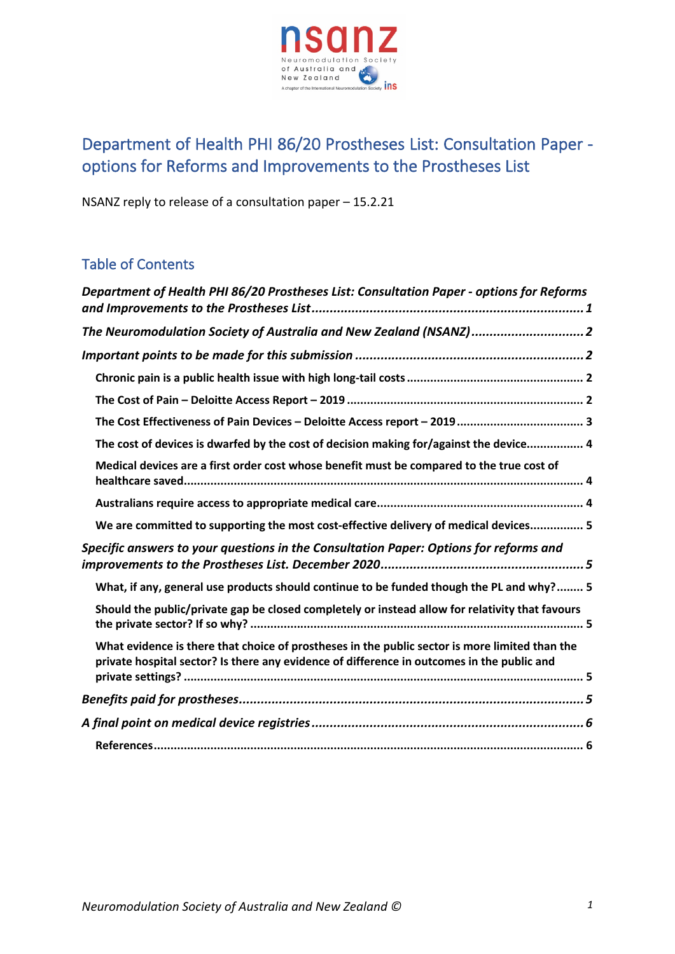

# Department of Health PHI 86/20 Prostheses List: Consultation Paper options for Reforms and Improvements to the Prostheses List

NSANZ reply to release of a consultation paper – 15.2.21

## Table of Contents

| Department of Health PHI 86/20 Prostheses List: Consultation Paper - options for Reforms                                                                                                     |
|----------------------------------------------------------------------------------------------------------------------------------------------------------------------------------------------|
| The Neuromodulation Society of Australia and New Zealand (NSANZ)2                                                                                                                            |
|                                                                                                                                                                                              |
|                                                                                                                                                                                              |
|                                                                                                                                                                                              |
|                                                                                                                                                                                              |
| The cost of devices is dwarfed by the cost of decision making for/against the device 4                                                                                                       |
| Medical devices are a first order cost whose benefit must be compared to the true cost of                                                                                                    |
|                                                                                                                                                                                              |
| We are committed to supporting the most cost-effective delivery of medical devices 5                                                                                                         |
| Specific answers to your questions in the Consultation Paper: Options for reforms and                                                                                                        |
| What, if any, general use products should continue to be funded though the PL and why? 5                                                                                                     |
| Should the public/private gap be closed completely or instead allow for relativity that favours                                                                                              |
| What evidence is there that choice of prostheses in the public sector is more limited than the<br>private hospital sector? Is there any evidence of difference in outcomes in the public and |
|                                                                                                                                                                                              |
|                                                                                                                                                                                              |
|                                                                                                                                                                                              |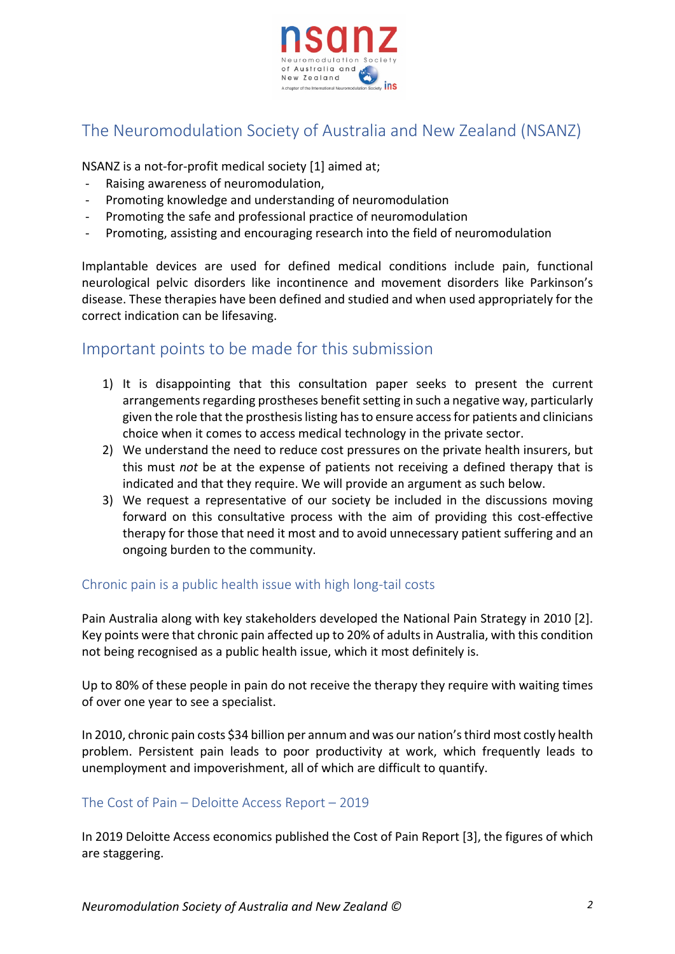

# The Neuromodulation Society of Australia and New Zealand (NSANZ)

NSANZ is a not-for-profit medical society [1] aimed at;

- Raising awareness of neuromodulation,
- Promoting knowledge and understanding of neuromodulation
- Promoting the safe and professional practice of neuromodulation
- Promoting, assisting and encouraging research into the field of neuromodulation

Implantable devices are used for defined medical conditions include pain, functional neurological pelvic disorders like incontinence and movement disorders like Parkinson's disease. These therapies have been defined and studied and when used appropriately for the correct indication can be lifesaving.

## Important points to be made for this submission

- 1) It is disappointing that this consultation paper seeks to present the current arrangements regarding prostheses benefit setting in such a negative way, particularly given the role that the prosthesis listing has to ensure access for patients and clinicians choice when it comes to access medical technology in the private sector.
- 2) We understand the need to reduce cost pressures on the private health insurers, but this must *not* be at the expense of patients not receiving a defined therapy that is indicated and that they require. We will provide an argument as such below.
- 3) We request a representative of our society be included in the discussions moving forward on this consultative process with the aim of providing this cost-effective therapy for those that need it most and to avoid unnecessary patient suffering and an ongoing burden to the community.

#### Chronic pain is a public health issue with high long-tail costs

Pain Australia along with key stakeholders developed the National Pain Strategy in 2010 [2]. Key points were that chronic pain affected up to 20% of adults in Australia, with this condition not being recognised as a public health issue, which it most definitely is.

Up to 80% of these people in pain do not receive the therapy they require with waiting times of over one year to see a specialist.

In 2010, chronic pain costs \$34 billion per annum and was our nation's third most costly health problem. Persistent pain leads to poor productivity at work, which frequently leads to unemployment and impoverishment, all of which are difficult to quantify.

#### The Cost of Pain – Deloitte Access Report – 2019

In 2019 Deloitte Access economics published the Cost of Pain Report [3], the figures of which are staggering.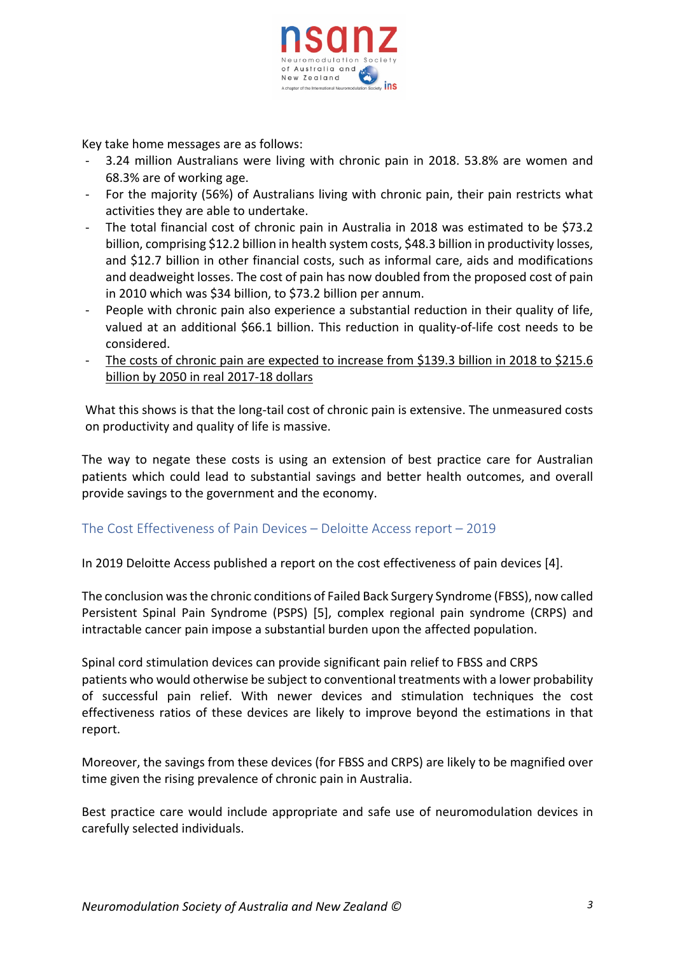

Key take home messages are as follows:

- 3.24 million Australians were living with chronic pain in 2018. 53.8% are women and 68.3% are of working age.
- For the majority (56%) of Australians living with chronic pain, their pain restricts what activities they are able to undertake.
- The total financial cost of chronic pain in Australia in 2018 was estimated to be \$73.2 billion, comprising \$12.2 billion in health system costs, \$48.3 billion in productivity losses, and \$12.7 billion in other financial costs, such as informal care, aids and modifications and deadweight losses. The cost of pain has now doubled from the proposed cost of pain in 2010 which was \$34 billion, to \$73.2 billion per annum.
- People with chronic pain also experience a substantial reduction in their quality of life, valued at an additional \$66.1 billion. This reduction in quality-of-life cost needs to be considered.
- The costs of chronic pain are expected to increase from \$139.3 billion in 2018 to \$215.6 billion by 2050 in real 2017-18 dollars

What this shows is that the long-tail cost of chronic pain is extensive. The unmeasured costs on productivity and quality of life is massive.

The way to negate these costs is using an extension of best practice care for Australian patients which could lead to substantial savings and better health outcomes, and overall provide savings to the government and the economy.

### The Cost Effectiveness of Pain Devices – Deloitte Access report – 2019

In 2019 Deloitte Access published a report on the cost effectiveness of pain devices [4].

The conclusion was the chronic conditions of Failed Back Surgery Syndrome (FBSS), now called Persistent Spinal Pain Syndrome (PSPS) [5], complex regional pain syndrome (CRPS) and intractable cancer pain impose a substantial burden upon the affected population.

Spinal cord stimulation devices can provide significant pain relief to FBSS and CRPS patients who would otherwise be subject to conventional treatments with a lower probability of successful pain relief. With newer devices and stimulation techniques the cost effectiveness ratios of these devices are likely to improve beyond the estimations in that report.

Moreover, the savings from these devices (for FBSS and CRPS) are likely to be magnified over time given the rising prevalence of chronic pain in Australia.

Best practice care would include appropriate and safe use of neuromodulation devices in carefully selected individuals.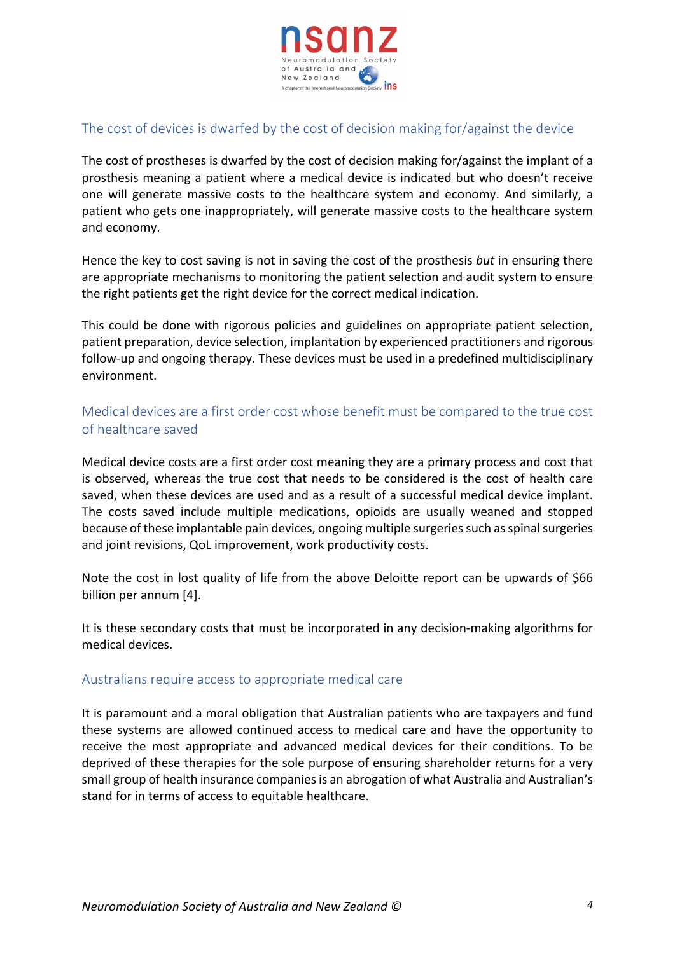

### The cost of devices is dwarfed by the cost of decision making for/against the device

The cost of prostheses is dwarfed by the cost of decision making for/against the implant of a prosthesis meaning a patient where a medical device is indicated but who doesn't receive one will generate massive costs to the healthcare system and economy. And similarly, a patient who gets one inappropriately, will generate massive costs to the healthcare system and economy.

Hence the key to cost saving is not in saving the cost of the prosthesis *but* in ensuring there are appropriate mechanisms to monitoring the patient selection and audit system to ensure the right patients get the right device for the correct medical indication.

This could be done with rigorous policies and guidelines on appropriate patient selection, patient preparation, device selection, implantation by experienced practitioners and rigorous follow-up and ongoing therapy. These devices must be used in a predefined multidisciplinary environment.

### Medical devices are a first order cost whose benefit must be compared to the true cost of healthcare saved

Medical device costs are a first order cost meaning they are a primary process and cost that is observed, whereas the true cost that needs to be considered is the cost of health care saved, when these devices are used and as a result of a successful medical device implant. The costs saved include multiple medications, opioids are usually weaned and stopped because of these implantable pain devices, ongoing multiple surgeries such as spinal surgeries and joint revisions, QoL improvement, work productivity costs.

Note the cost in lost quality of life from the above Deloitte report can be upwards of \$66 billion per annum [4].

It is these secondary costs that must be incorporated in any decision-making algorithms for medical devices.

#### Australians require access to appropriate medical care

It is paramount and a moral obligation that Australian patients who are taxpayers and fund these systems are allowed continued access to medical care and have the opportunity to receive the most appropriate and advanced medical devices for their conditions. To be deprived of these therapies for the sole purpose of ensuring shareholder returns for a very small group of health insurance companies is an abrogation of what Australia and Australian's stand for in terms of access to equitable healthcare.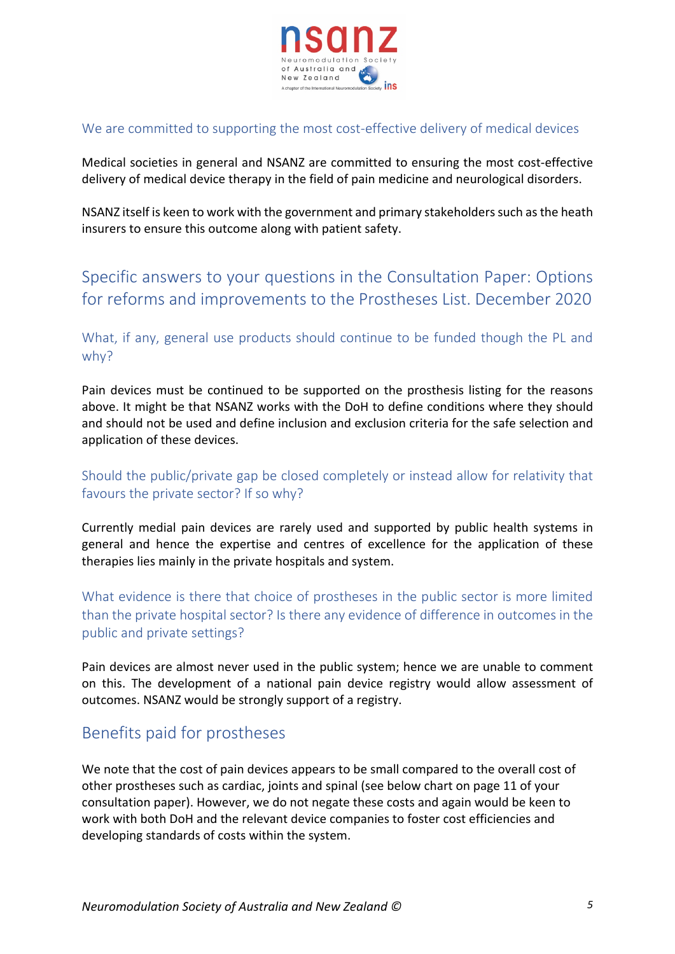

#### We are committed to supporting the most cost-effective delivery of medical devices

Medical societies in general and NSANZ are committed to ensuring the most cost-effective delivery of medical device therapy in the field of pain medicine and neurological disorders.

NSANZ itself is keen to work with the government and primary stakeholders such as the heath insurers to ensure this outcome along with patient safety.

# Specific answers to your questions in the Consultation Paper: Options for reforms and improvements to the Prostheses List. December 2020

What, if any, general use products should continue to be funded though the PL and why?

Pain devices must be continued to be supported on the prosthesis listing for the reasons above. It might be that NSANZ works with the DoH to define conditions where they should and should not be used and define inclusion and exclusion criteria for the safe selection and application of these devices.

### Should the public/private gap be closed completely or instead allow for relativity that favours the private sector? If so why?

Currently medial pain devices are rarely used and supported by public health systems in general and hence the expertise and centres of excellence for the application of these therapies lies mainly in the private hospitals and system.

What evidence is there that choice of prostheses in the public sector is more limited than the private hospital sector? Is there any evidence of difference in outcomes in the public and private settings?

Pain devices are almost never used in the public system; hence we are unable to comment on this. The development of a national pain device registry would allow assessment of outcomes. NSANZ would be strongly support of a registry.

## Benefits paid for prostheses

We note that the cost of pain devices appears to be small compared to the overall cost of other prostheses such as cardiac, joints and spinal (see below chart on page 11 of your consultation paper). However, we do not negate these costs and again would be keen to work with both DoH and the relevant device companies to foster cost efficiencies and developing standards of costs within the system.